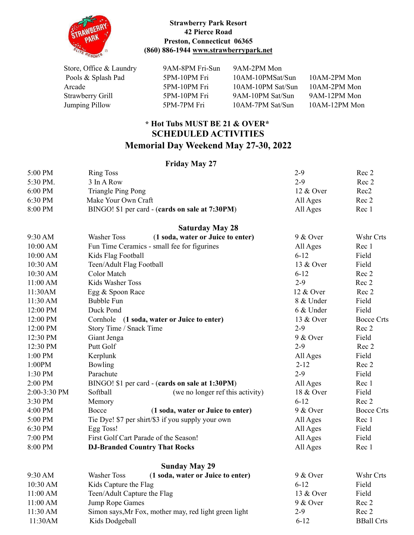

## **Strawberry Park Resort 42 Pierce Road Preston, Connecticut 06365 (860) 886-1944 [www.strawberrypark.net](http://www.strawberrypark.net)**

| Store, Office & Laundry | 9AM-8PM Fri-Sun | 9AM-2PM Mon       |               |
|-------------------------|-----------------|-------------------|---------------|
| Pools & Splash Pad      | 5PM-10PM Fri    | 10AM-10PMSat/Sun  | 10AM-2PM Mon  |
| Arcade                  | 5PM-10PM Fri    | 10AM-10PM Sat/Sun | 10AM-2PM Mon  |
| Strawberry Grill        | 5PM-10PM Fri    | 9AM-10PM Sat/Sun  | 9AM-12PM Mon  |
| Jumping Pillow          | 5PM-7PM Fri     | 10AM-7PM Sat/Sun  | 10AM-12PM Mon |

## **\* Hot Tubs MUST BE 21 & OVER\* SCHEDULED ACTIVITIES Memorial Day Weekend May 27-30, 2022**

## **Friday May 27**

|              | ттиау виду 27                                           |                   |                   |
|--------------|---------------------------------------------------------|-------------------|-------------------|
| 5:00 PM      | <b>Ring Toss</b>                                        | $2 - 9$           | Rec 2             |
| 5:30 PM.     | 3 In A Row                                              | $2-9$             | Rec 2             |
| 6:00 PM      | <b>Triangle Ping Pong</b>                               | 12 & Over         | Rec <sub>2</sub>  |
| 6:30 PM      | Make Your Own Craft                                     | All Ages          | Rec 2             |
| 8:00 PM      | BINGO! \$1 per card - (cards on sale at 7:30PM)         | All Ages          | Rec 1             |
|              | <b>Saturday May 28</b>                                  |                   |                   |
| 9:30 AM      | (1 soda, water or Juice to enter)<br><b>Washer Toss</b> | 9 & Over          | Wshr Crts         |
| 10:00 AM     | Fun Time Ceramics - small fee for figurines             | All Ages          | Rec 1             |
| 10:00 AM     | Kids Flag Football                                      | $6 - 12$          | Field             |
| 10:30 AM     | Teen/Adult Flag Football                                | 13 & Over         | Field             |
| 10:30 AM     | Color Match                                             | $6 - 12$          | Rec 2             |
| 11:00 AM     | Kids Washer Toss                                        | $2-9$             | Rec 2             |
| 11:30AM      | Egg & Spoon Race                                        | 12 & Over         | Rec 2             |
| 11:30 AM     | <b>Bubble Fun</b>                                       | 8 & Under         | Field             |
| 12:00 PM     | Duck Pond                                               | 6 & Under         | Field             |
| 12:00 PM     | Cornhole (1 soda, water or Juice to enter)              | 13 & Over         | <b>Bocce Crts</b> |
| 12:00 PM     | Story Time / Snack Time                                 | $2 - 9$           | Rec 2             |
| 12:30 PM     | Giant Jenga                                             | $9 & \text{Over}$ | Field             |
| 12:30 PM     | Putt Golf                                               | $2 - 9$           | Rec 2             |
| 1:00 PM      | Kerplunk                                                | All Ages          | Field             |
| 1:00PM       | Bowling                                                 | $2 - 12$          | Rec 2             |
| 1:30 PM      | Parachute                                               | $2 - 9$           | Field             |
| 2:00 PM      | BINGO! \$1 per card - (cards on sale at 1:30PM)         | All Ages          | Rec 1             |
| 2:00-3:30 PM | Softball<br>(we no longer ref this activity)            | 18 & Over         | Field             |
| 3:30 PM      | Memory                                                  | $6 - 12$          | Rec 2             |
| 4:00 PM      | Bocce<br>(1 soda, water or Juice to enter)              | 9 & Over          | <b>Bocce Crts</b> |
| 5:00 PM      | Tie Dye! \$7 per shirt/\$3 if you supply your own       | All Ages          | Rec 1             |
| 6:30 PM      | Egg Toss!                                               | All Ages          | Field             |
| 7:00 PM      | First Golf Cart Parade of the Season!                   | All Ages          | Field             |
| 8:00 PM      | <b>DJ-Branded Country That Rocks</b>                    | All Ages          | Rec 1             |
|              | <b>Sunday May 29</b>                                    |                   |                   |
| 9:30 AM      | (1 soda, water or Juice to enter)<br><b>Washer Toss</b> | 9 & Over          | Wshr Crts         |
| 10:30 AM     | Kids Capture the Flag                                   | $6 - 12$          | Field             |
| 11:00 AM     | Teen/Adult Capture the Flag                             | 13 & Over         | Field             |
| 11:00 AM     | Jump Rope Games                                         | 9 & Over          | Rec 2             |
| 11:30 AM     | Simon says, Mr Fox, mother may, red light green light   | $2 - 9$           | Rec 2             |
| 11:30AM      | Kids Dodgeball                                          | $6 - 12$          | <b>BBall Crts</b> |